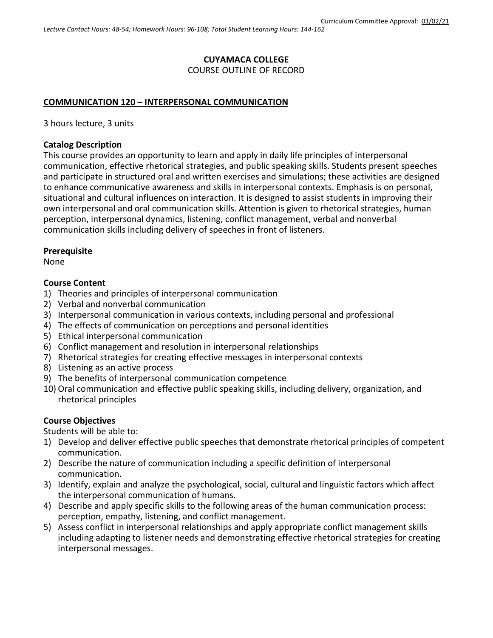## **CUYAMACA COLLEGE** COURSE OUTLINE OF RECORD

### **COMMUNICATION 120 – INTERPERSONAL COMMUNICATION**

3 hours lecture, 3 units

### **Catalog Description**

This course provides an opportunity to learn and apply in daily life principles of interpersonal communication, effective rhetorical strategies, and public speaking skills. Students present speeches and participate in structured oral and written exercises and simulations; these activities are designed to enhance communicative awareness and skills in interpersonal contexts. Emphasis is on personal, situational and cultural influences on interaction. It is designed to assist students in improving their own interpersonal and oral communication skills. Attention is given to rhetorical strategies, human perception, interpersonal dynamics, listening, conflict management, verbal and nonverbal communication skills including delivery of speeches in front of listeners.

### **Prerequisite**

None

### **Course Content**

- 1) Theories and principles of interpersonal communication
- 2) Verbal and nonverbal communication
- 3) Interpersonal communication in various contexts, including personal and professional
- 4) The effects of communication on perceptions and personal identities
- 5) Ethical interpersonal communication
- 6) Conflict management and resolution in interpersonal relationships
- 7) Rhetorical strategies for creating effective messages in interpersonal contexts
- 8) Listening as an active process
- 9) The benefits of interpersonal communication competence
- 10) Oral communication and effective public speaking skills, including delivery, organization, and rhetorical principles

### **Course Objectives**

Students will be able to:

- 1) Develop and deliver effective public speeches that demonstrate rhetorical principles of competent communication.
- 2) Describe the nature of communication including a specific definition of interpersonal communication.
- 3) Identify, explain and analyze the psychological, social, cultural and linguistic factors which affect the interpersonal communication of humans.
- 4) Describe and apply specific skills to the following areas of the human communication process: perception, empathy, listening, and conflict management.
- 5) Assess conflict in interpersonal relationships and apply appropriate conflict management skills including adapting to listener needs and demonstrating effective rhetorical strategies for creating interpersonal messages.